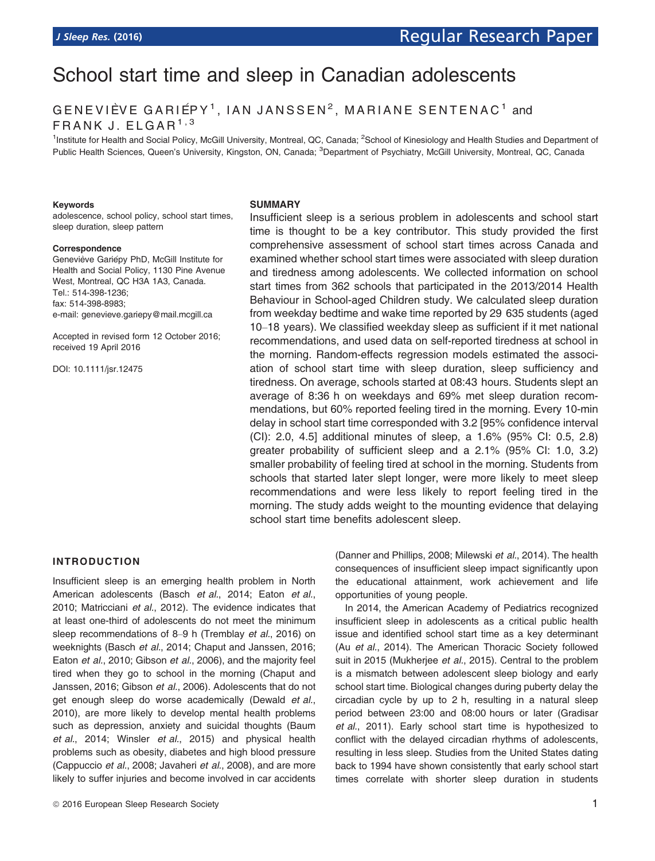# School start time and sleep in Canadian adolescents

GENEVIÈVE GARIÉPY<sup>1</sup>, IAN JANSSEN<sup>2</sup>, MARIANE SENTENAC<sup>1</sup> and FRANK J.  $E L G A R^{1,3}$ 

<sup>1</sup>Institute for Health and Social Policy, McGill University, Montreal, QC, Canada; <sup>2</sup>School of Kinesiology and Health Studies and Department of Public Health Sciences, Queen's University, Kingston, ON, Canada; <sup>3</sup>Department of Psychiatry, McGill University, Montreal, QC, Canada

#### Keywords

adolescence, school policy, school start times, sleep duration, sleep pattern

#### Correspondence

Geneviève Gariépy PhD, McGill Institute for Health and Social Policy, 1130 Pine Avenue West, Montreal, QC H3A 1A3, Canada. Tel.: 514-398-1236; fax: 514-398-8983; e-mail: genevieve.gariepy@mail.mcgill.ca

Accepted in revised form 12 October 2016; received 19 April 2016

DOI: 10.1111/jsr.12475

#### **SUMMARY**

Insufficient sleep is a serious problem in adolescents and school start time is thought to be a key contributor. This study provided the first comprehensive assessment of school start times across Canada and examined whether school start times were associated with sleep duration and tiredness among adolescents. We collected information on school start times from 362 schools that participated in the 2013/2014 Health Behaviour in School-aged Children study. We calculated sleep duration from weekday bedtime and wake time reported by 29 635 students (aged 10–18 years). We classified weekday sleep as sufficient if it met national recommendations, and used data on self-reported tiredness at school in the morning. Random-effects regression models estimated the association of school start time with sleep duration, sleep sufficiency and tiredness. On average, schools started at 08:43 hours. Students slept an average of 8:36 h on weekdays and 69% met sleep duration recommendations, but 60% reported feeling tired in the morning. Every 10-min delay in school start time corresponded with 3.2 [95% confidence interval (CI): 2.0, 4.5] additional minutes of sleep, a 1.6% (95% CI: 0.5, 2.8) greater probability of sufficient sleep and a 2.1% (95% CI: 1.0, 3.2) smaller probability of feeling tired at school in the morning. Students from schools that started later slept longer, were more likely to meet sleep recommendations and were less likely to report feeling tired in the morning. The study adds weight to the mounting evidence that delaying school start time benefits adolescent sleep.

#### INTRODUCTION

Insufficient sleep is an emerging health problem in North American adolescents (Basch et al., 2014; Eaton et al., 2010; Matricciani et al., 2012). The evidence indicates that at least one-third of adolescents do not meet the minimum sleep recommendations of 8–9 h (Tremblay et al., 2016) on weeknights (Basch et al., 2014; Chaput and Janssen, 2016; Eaton et al., 2010; Gibson et al., 2006), and the majority feel tired when they go to school in the morning (Chaput and Janssen, 2016; Gibson et al., 2006). Adolescents that do not get enough sleep do worse academically (Dewald et al., 2010), are more likely to develop mental health problems such as depression, anxiety and suicidal thoughts (Baum et al., 2014; Winsler et al., 2015) and physical health problems such as obesity, diabetes and high blood pressure (Cappuccio et al., 2008; Javaheri et al., 2008), and are more likely to suffer injuries and become involved in car accidents (Danner and Phillips, 2008; Milewski et al., 2014). The health consequences of insufficient sleep impact significantly upon the educational attainment, work achievement and life opportunities of young people.

In 2014, the American Academy of Pediatrics recognized insufficient sleep in adolescents as a critical public health issue and identified school start time as a key determinant (Au et al., 2014). The American Thoracic Society followed suit in 2015 (Mukherjee et al., 2015). Central to the problem is a mismatch between adolescent sleep biology and early school start time. Biological changes during puberty delay the circadian cycle by up to 2 h, resulting in a natural sleep period between 23:00 and 08:00 hours or later (Gradisar et al., 2011). Early school start time is hypothesized to conflict with the delayed circadian rhythms of adolescents, resulting in less sleep. Studies from the United States dating back to 1994 have shown consistently that early school start times correlate with shorter sleep duration in students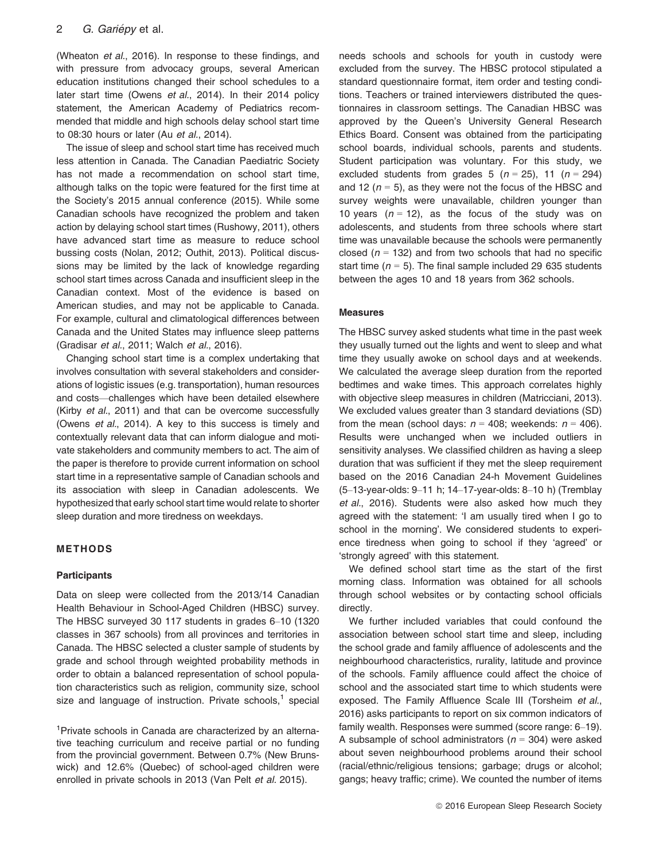(Wheaton et al., 2016). In response to these findings, and with pressure from advocacy groups, several American education institutions changed their school schedules to a later start time (Owens et al., 2014). In their 2014 policy statement, the American Academy of Pediatrics recommended that middle and high schools delay school start time to 08:30 hours or later (Au et al., 2014).

The issue of sleep and school start time has received much less attention in Canada. The Canadian Paediatric Society has not made a recommendation on school start time, although talks on the topic were featured for the first time at the Society's 2015 annual conference (2015). While some Canadian schools have recognized the problem and taken action by delaying school start times (Rushowy, 2011), others have advanced start time as measure to reduce school bussing costs (Nolan, 2012; Outhit, 2013). Political discussions may be limited by the lack of knowledge regarding school start times across Canada and insufficient sleep in the Canadian context. Most of the evidence is based on American studies, and may not be applicable to Canada. For example, cultural and climatological differences between Canada and the United States may influence sleep patterns (Gradisar et al., 2011; Walch et al., 2016).

Changing school start time is a complex undertaking that involves consultation with several stakeholders and considerations of logistic issues (e.g. transportation), human resources and costs—challenges which have been detailed elsewhere (Kirby et al., 2011) and that can be overcome successfully (Owens et al., 2014). A key to this success is timely and contextually relevant data that can inform dialogue and motivate stakeholders and community members to act. The aim of the paper is therefore to provide current information on school start time in a representative sample of Canadian schools and its association with sleep in Canadian adolescents. We hypothesized that early school start time would relate to shorter sleep duration and more tiredness on weekdays.

# METHODS

#### **Participants**

Data on sleep were collected from the 2013/14 Canadian Health Behaviour in School-Aged Children (HBSC) survey. The HBSC surveyed 30 117 students in grades 6–10 (1320 classes in 367 schools) from all provinces and territories in Canada. The HBSC selected a cluster sample of students by grade and school through weighted probability methods in order to obtain a balanced representation of school population characteristics such as religion, community size, school size and language of instruction. Private schools, $<sup>1</sup>$  special</sup>

<sup>1</sup>Private schools in Canada are characterized by an alternative teaching curriculum and receive partial or no funding from the provincial government. Between 0.7% (New Brunswick) and 12.6% (Quebec) of school-aged children were enrolled in private schools in 2013 (Van Pelt et al. 2015).

needs schools and schools for youth in custody were excluded from the survey. The HBSC protocol stipulated a standard questionnaire format, item order and testing conditions. Teachers or trained interviewers distributed the questionnaires in classroom settings. The Canadian HBSC was approved by the Queen's University General Research Ethics Board. Consent was obtained from the participating school boards, individual schools, parents and students. Student participation was voluntary. For this study, we excluded students from grades 5 ( $n = 25$ ), 11 ( $n = 294$ ) and 12 ( $n = 5$ ), as they were not the focus of the HBSC and survey weights were unavailable, children younger than 10 years  $(n = 12)$ , as the focus of the study was on adolescents, and students from three schools where start time was unavailable because the schools were permanently closed ( $n = 132$ ) and from two schools that had no specific start time ( $n = 5$ ). The final sample included 29 635 students between the ages 10 and 18 years from 362 schools.

#### Measures

The HBSC survey asked students what time in the past week they usually turned out the lights and went to sleep and what time they usually awoke on school days and at weekends. We calculated the average sleep duration from the reported bedtimes and wake times. This approach correlates highly with objective sleep measures in children (Matricciani, 2013). We excluded values greater than 3 standard deviations (SD) from the mean (school days:  $n = 408$ ; weekends:  $n = 406$ ). Results were unchanged when we included outliers in sensitivity analyses. We classified children as having a sleep duration that was sufficient if they met the sleep requirement based on the 2016 Canadian 24-h Movement Guidelines (5–13-year-olds: 9–11 h; 14–17-year-olds: 8–10 h) (Tremblay et al., 2016). Students were also asked how much they agreed with the statement: 'I am usually tired when I go to school in the morning'. We considered students to experience tiredness when going to school if they 'agreed' or 'strongly agreed' with this statement.

We defined school start time as the start of the first morning class. Information was obtained for all schools through school websites or by contacting school officials directly.

We further included variables that could confound the association between school start time and sleep, including the school grade and family affluence of adolescents and the neighbourhood characteristics, rurality, latitude and province of the schools. Family affluence could affect the choice of school and the associated start time to which students were exposed. The Family Affluence Scale III (Torsheim et al., 2016) asks participants to report on six common indicators of family wealth. Responses were summed (score range: 6–19). A subsample of school administrators ( $n = 304$ ) were asked about seven neighbourhood problems around their school (racial/ethnic/religious tensions; garbage; drugs or alcohol; gangs; heavy traffic; crime). We counted the number of items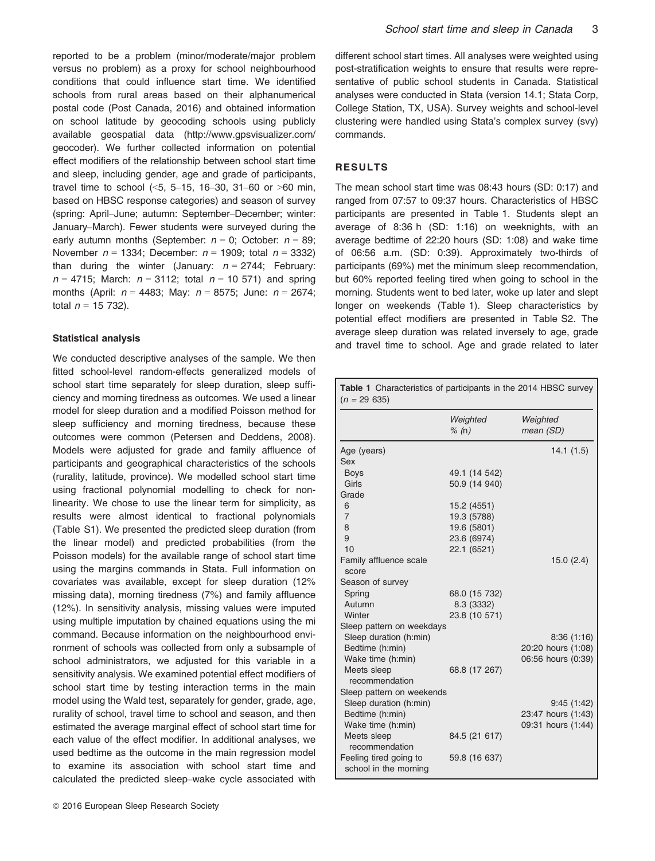reported to be a problem (minor/moderate/major problem versus no problem) as a proxy for school neighbourhood conditions that could influence start time. We identified schools from rural areas based on their alphanumerical postal code (Post Canada, 2016) and obtained information on school latitude by geocoding schools using publicly available geospatial data [\(http://www.gpsvisualizer.com/](http://www.gpsvisualizer.com/geocoder) [geocoder\)](http://www.gpsvisualizer.com/geocoder). We further collected information on potential effect modifiers of the relationship between school start time and sleep, including gender, age and grade of participants, travel time to school (<5, 5–15, 16–30, 31–60 or >60 min, based on HBSC response categories) and season of survey (spring: April–June; autumn: September–December; winter: January–March). Fewer students were surveyed during the early autumn months (September:  $n = 0$ ; October:  $n = 89$ ; November  $n = 1334$ ; December:  $n = 1909$ ; total  $n = 3332$ ) than during the winter (January:  $n = 2744$ ; February:  $n = 4715$ ; March:  $n = 3112$ ; total  $n = 10571$ ) and spring months (April:  $n = 4483$ ; May:  $n = 8575$ ; June:  $n = 2674$ ; total  $n = 15, 732$ ).

### Statistical analysis

We conducted descriptive analyses of the sample. We then fitted school-level random-effects generalized models of school start time separately for sleep duration, sleep sufficiency and morning tiredness as outcomes. We used a linear model for sleep duration and a modified Poisson method for sleep sufficiency and morning tiredness, because these outcomes were common (Petersen and Deddens, 2008). Models were adjusted for grade and family affluence of participants and geographical characteristics of the schools (rurality, latitude, province). We modelled school start time using fractional polynomial modelling to check for nonlinearity. We chose to use the linear term for simplicity, as results were almost identical to fractional polynomials (Table S1). We presented the predicted sleep duration (from the linear model) and predicted probabilities (from the Poisson models) for the available range of school start time using the margins commands in Stata. Full information on covariates was available, except for sleep duration (12% missing data), morning tiredness (7%) and family affluence (12%). In sensitivity analysis, missing values were imputed using multiple imputation by chained equations using the mi command. Because information on the neighbourhood environment of schools was collected from only a subsample of school administrators, we adjusted for this variable in a sensitivity analysis. We examined potential effect modifiers of school start time by testing interaction terms in the main model using the Wald test, separately for gender, grade, age, rurality of school, travel time to school and season, and then estimated the average marginal effect of school start time for each value of the effect modifier. In additional analyses, we used bedtime as the outcome in the main regression model to examine its association with school start time and calculated the predicted sleep–wake cycle associated with

different school start times. All analyses were weighted using post-stratification weights to ensure that results were representative of public school students in Canada. Statistical analyses were conducted in Stata (version 14.1; Stata Corp, College Station, TX, USA). Survey weights and school-level clustering were handled using Stata's complex survey (svy) commands.

# RESULTS

The mean school start time was 08:43 hours (SD: 0:17) and ranged from 07:57 to 09:37 hours. Characteristics of HBSC participants are presented in Table 1. Students slept an average of 8:36 h (SD: 1:16) on weeknights, with an average bedtime of 22:20 hours (SD: 1:08) and wake time of 06:56 a.m. (SD: 0:39). Approximately two-thirds of participants (69%) met the minimum sleep recommendation, but 60% reported feeling tired when going to school in the morning. Students went to bed later, woke up later and slept longer on weekends (Table 1). Sleep characteristics by potential effect modifiers are presented in Table S2. The average sleep duration was related inversely to age, grade and travel time to school. Age and grade related to later

| <b>Table 1</b> Characteristics of participants in the 2014 HBSC survey<br>$(n = 29 635)$ |                   |                       |  |  |  |
|------------------------------------------------------------------------------------------|-------------------|-----------------------|--|--|--|
|                                                                                          | Weighted<br>% (n) | Weighted<br>mean (SD) |  |  |  |
| Age (years)                                                                              |                   | 14.1(1.5)             |  |  |  |
| Sex                                                                                      |                   |                       |  |  |  |
| <b>Boys</b>                                                                              | 49.1 (14 542)     |                       |  |  |  |
| Girls                                                                                    | 50.9 (14 940)     |                       |  |  |  |
| Grade                                                                                    |                   |                       |  |  |  |
| 6                                                                                        | 15.2 (4551)       |                       |  |  |  |
| $\overline{7}$                                                                           | 19.3 (5788)       |                       |  |  |  |
| 8                                                                                        | 19.6 (5801)       |                       |  |  |  |
| 9                                                                                        | 23.6 (6974)       |                       |  |  |  |
| 10                                                                                       | 22.1 (6521)       |                       |  |  |  |
| Family affluence scale                                                                   |                   | 15.0(2.4)             |  |  |  |
| score                                                                                    |                   |                       |  |  |  |
| Season of survey                                                                         |                   |                       |  |  |  |
| Spring                                                                                   | 68.0 (15 732)     |                       |  |  |  |
| Autumn                                                                                   | 8.3 (3332)        |                       |  |  |  |
| Winter                                                                                   | 23.8 (10 571)     |                       |  |  |  |
| Sleep pattern on weekdays                                                                |                   |                       |  |  |  |
| Sleep duration (h:min)                                                                   |                   | 8:36(1:16)            |  |  |  |
| Bedtime (h:min)                                                                          |                   | 20:20 hours (1:08)    |  |  |  |
| Wake time (h:min)                                                                        |                   | 06:56 hours (0:39)    |  |  |  |
| Meets sleep                                                                              | 68.8 (17 267)     |                       |  |  |  |
| recommendation                                                                           |                   |                       |  |  |  |
| Sleep pattern on weekends                                                                |                   |                       |  |  |  |
| Sleep duration (h:min)                                                                   |                   | 9:45(1:42)            |  |  |  |
| Bedtime (h:min)                                                                          |                   | 23:47 hours (1:43)    |  |  |  |
| Wake time (h:min)                                                                        |                   | 09:31 hours (1:44)    |  |  |  |
| Meets sleep                                                                              | 84.5 (21 617)     |                       |  |  |  |
| recommendation                                                                           |                   |                       |  |  |  |
| Feeling tired going to<br>school in the morning                                          | 59.8 (16 637)     |                       |  |  |  |
|                                                                                          |                   |                       |  |  |  |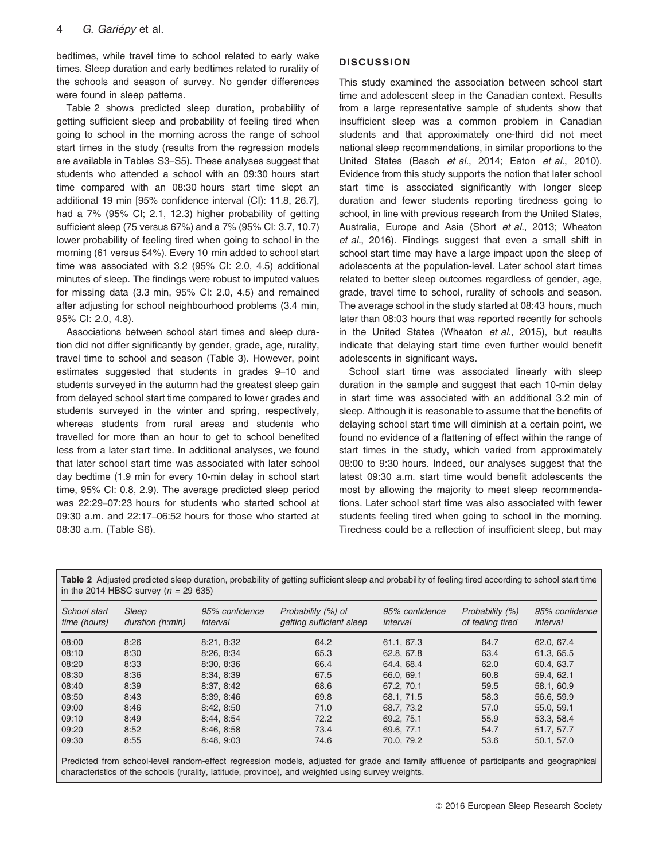bedtimes, while travel time to school related to early wake times. Sleep duration and early bedtimes related to rurality of the schools and season of survey. No gender differences were found in sleep patterns.

Table 2 shows predicted sleep duration, probability of getting sufficient sleep and probability of feeling tired when going to school in the morning across the range of school start times in the study (results from the regression models are available in Tables S3–S5). These analyses suggest that students who attended a school with an 09:30 hours start time compared with an 08:30 hours start time slept an additional 19 min [95% confidence interval (CI): 11.8, 26.7], had a 7% (95% CI; 2.1, 12.3) higher probability of getting sufficient sleep (75 versus 67%) and a 7% (95% CI: 3.7, 10.7) lower probability of feeling tired when going to school in the morning (61 versus 54%). Every 10 min added to school start time was associated with 3.2 (95% CI: 2.0, 4.5) additional minutes of sleep. The findings were robust to imputed values for missing data (3.3 min, 95% CI: 2.0, 4.5) and remained after adjusting for school neighbourhood problems (3.4 min, 95% CI: 2.0, 4.8).

Associations between school start times and sleep duration did not differ significantly by gender, grade, age, rurality, travel time to school and season (Table 3). However, point estimates suggested that students in grades 9–10 and students surveyed in the autumn had the greatest sleep gain from delayed school start time compared to lower grades and students surveyed in the winter and spring, respectively, whereas students from rural areas and students who travelled for more than an hour to get to school benefited less from a later start time. In additional analyses, we found that later school start time was associated with later school day bedtime (1.9 min for every 10-min delay in school start time, 95% CI: 0.8, 2.9). The average predicted sleep period was 22:29–07:23 hours for students who started school at 09:30 a.m. and 22:17–06:52 hours for those who started at 08:30 a.m. (Table S6).

# **DISCUSSION**

This study examined the association between school start time and adolescent sleep in the Canadian context. Results from a large representative sample of students show that insufficient sleep was a common problem in Canadian students and that approximately one-third did not meet national sleep recommendations, in similar proportions to the United States (Basch et al., 2014; Eaton et al., 2010). Evidence from this study supports the notion that later school start time is associated significantly with longer sleep duration and fewer students reporting tiredness going to school, in line with previous research from the United States, Australia, Europe and Asia (Short et al., 2013; Wheaton et al., 2016). Findings suggest that even a small shift in school start time may have a large impact upon the sleep of adolescents at the population-level. Later school start times related to better sleep outcomes regardless of gender, age, grade, travel time to school, rurality of schools and season. The average school in the study started at 08:43 hours, much later than 08:03 hours that was reported recently for schools in the United States (Wheaton et al., 2015), but results indicate that delaying start time even further would benefit adolescents in significant ways.

School start time was associated linearly with sleep duration in the sample and suggest that each 10-min delay in start time was associated with an additional 3.2 min of sleep. Although it is reasonable to assume that the benefits of delaying school start time will diminish at a certain point, we found no evidence of a flattening of effect within the range of start times in the study, which varied from approximately 08:00 to 9:30 hours. Indeed, our analyses suggest that the latest 09:30 a.m. start time would benefit adolescents the most by allowing the majority to meet sleep recommendations. Later school start time was also associated with fewer students feeling tired when going to school in the morning. Tiredness could be a reflection of insufficient sleep, but may

Table 2 Adjusted predicted sleep duration, probability of getting sufficient sleep and probability of feeling tired according to school start time in the 2014 HBSC survey ( $n = 29635$ )

| School start<br>time (hours) | Sleep<br>duration (h:min) | 95% confidence<br>interval | Probability (%) of<br>getting sufficient sleep | 95% confidence<br>interval | Probability (%)<br>of feeling tired | 95% confidence<br>interval |
|------------------------------|---------------------------|----------------------------|------------------------------------------------|----------------------------|-------------------------------------|----------------------------|
| 08:00                        | 8:26                      | 8:21.8:32                  | 64.2                                           | 61.1, 67.3                 | 64.7                                | 62.0.67.4                  |
| 08:10                        | 8:30                      | 8:26.8:34                  | 65.3                                           | 62.8, 67.8                 | 63.4                                | 61.3, 65.5                 |
| 08:20                        | 8:33                      | 8:30, 8:36                 | 66.4                                           | 64.4, 68.4                 | 62.0                                | 60.4, 63.7                 |
| 08:30                        | 8:36                      | 8:34, 8:39                 | 67.5                                           | 66.0, 69.1                 | 60.8                                | 59.4.62.1                  |
| 08:40                        | 8:39                      | 8:37, 8:42                 | 68.6                                           | 67.2. 70.1                 | 59.5                                | 58.1, 60.9                 |
| 08:50                        | 8:43                      | 8:39.8:46                  | 69.8                                           | 68.1.71.5                  | 58.3                                | 56.6, 59.9                 |
| 09:00                        | 8:46                      | 8:42, 8:50                 | 71.0                                           | 68.7.73.2                  | 57.0                                | 55.0, 59.1                 |
| 09:10                        | 8:49                      | 8:44, 8:54                 | 72.2                                           | 69.2.75.1                  | 55.9                                | 53.3, 58.4                 |
| 09:20                        | 8:52                      | 8:46, 8:58                 | 73.4                                           | 69.6, 77.1                 | 54.7                                | 51.7, 57.7                 |
| 09:30                        | 8:55                      | 8:48, 9:03                 | 74.6                                           | 70.0. 79.2                 | 53.6                                | 50.1.57.0                  |

Predicted from school-level random-effect regression models, adjusted for grade and family affluence of participants and geographical characteristics of the schools (rurality, latitude, province), and weighted using survey weights.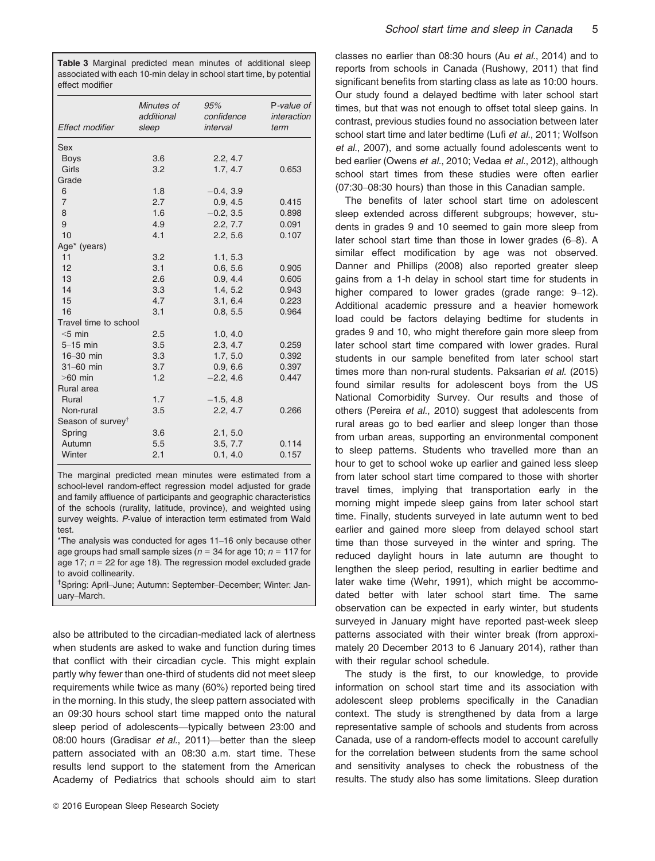Table 3 Marginal predicted mean minutes of additional sleep associated with each 10-min delay in school start time, by potential effect modifier

| Effect modifier               | Minutes of<br>additional<br>sleep | 95%<br>confidence<br>interval | P-value of<br>interaction<br>term |
|-------------------------------|-----------------------------------|-------------------------------|-----------------------------------|
| Sex                           |                                   |                               |                                   |
| <b>Boys</b>                   | 3.6                               | 2.2, 4.7                      |                                   |
| Girls                         | 3.2                               | 1.7, 4.7                      | 0.653                             |
| Grade                         |                                   |                               |                                   |
| 6                             | 1.8                               | $-0.4, 3.9$                   |                                   |
| $\overline{7}$                | 2.7                               | 0.9, 4.5                      | 0.415                             |
| 8                             | 1.6                               | $-0.2, 3.5$                   | 0.898                             |
| 9                             | 4.9                               | 2.2, 7.7                      | 0.091                             |
| 10                            | 4.1                               | 2.2, 5.6                      | 0.107                             |
| Age* (years)                  |                                   |                               |                                   |
| 11                            | 3.2                               | 1.1, 5.3                      |                                   |
| 12                            | 3.1                               | 0.6, 5.6                      | 0.905                             |
| 13                            | 2.6                               | 0.9, 4.4                      | 0.605                             |
| 14                            | 3.3                               | 1.4, 5.2                      | 0.943                             |
| 15                            | 4.7                               | 3.1, 6.4                      | 0.223                             |
| 16                            | 3.1                               | 0.8, 5.5                      | 0.964                             |
| Travel time to school         |                                   |                               |                                   |
| $<5$ min                      | 2.5                               | 1.0, 4.0                      |                                   |
| $5-15$ min                    | 3.5                               | 2.3, 4.7                      | 0.259                             |
| $16-30$ min                   | 3.3                               | 1.7, 5.0                      | 0.392                             |
| $31-60$ min                   | 3.7                               | 0.9, 6.6                      | 0.397                             |
| $>60$ min                     | 1.2                               | $-2.2, 4.6$                   | 0.447                             |
| Rural area                    |                                   |                               |                                   |
| Rural                         | 1.7                               | $-1.5, 4.8$                   |                                   |
| Non-rural                     | 3.5                               | 2.2, 4.7                      | 0.266                             |
| Season of survey <sup>®</sup> |                                   |                               |                                   |
| Spring                        | 3.6                               | 2.1, 5.0                      |                                   |
| Autumn                        | 5.5                               | 3.5, 7.7                      | 0.114                             |
| Winter                        | 2.1                               | 0.1, 4.0                      | 0.157                             |

The marginal predicted mean minutes were estimated from a school-level random-effect regression model adjusted for grade and family affluence of participants and geographic characteristics of the schools (rurality, latitude, province), and weighted using survey weights. P-value of interaction term estimated from Wald test.

\*The analysis was conducted for ages 11–16 only because other age groups had small sample sizes ( $n = 34$  for age 10;  $n = 117$  for age 17;  $n = 22$  for age 18). The regression model excluded grade to avoid collinearity.

† Spring: April–June; Autumn: September–December; Winter: January–March.

also be attributed to the circadian-mediated lack of alertness when students are asked to wake and function during times that conflict with their circadian cycle. This might explain partly why fewer than one-third of students did not meet sleep requirements while twice as many (60%) reported being tired in the morning. In this study, the sleep pattern associated with an 09:30 hours school start time mapped onto the natural sleep period of adolescents—typically between 23:00 and 08:00 hours (Gradisar et al., 2011)—better than the sleep pattern associated with an 08:30 a.m. start time. These results lend support to the statement from the American Academy of Pediatrics that schools should aim to start classes no earlier than 08:30 hours (Au et al., 2014) and to reports from schools in Canada (Rushowy, 2011) that find significant benefits from starting class as late as 10:00 hours. Our study found a delayed bedtime with later school start times, but that was not enough to offset total sleep gains. In contrast, previous studies found no association between later school start time and later bedtime (Lufi et al., 2011; Wolfson et al., 2007), and some actually found adolescents went to bed earlier (Owens et al., 2010; Vedaa et al., 2012), although school start times from these studies were often earlier (07:30–08:30 hours) than those in this Canadian sample.

The benefits of later school start time on adolescent sleep extended across different subgroups; however, students in grades 9 and 10 seemed to gain more sleep from later school start time than those in lower grades (6–8). A similar effect modification by age was not observed. Danner and Phillips (2008) also reported greater sleep gains from a 1-h delay in school start time for students in higher compared to lower grades (grade range: 9–12). Additional academic pressure and a heavier homework load could be factors delaying bedtime for students in grades 9 and 10, who might therefore gain more sleep from later school start time compared with lower grades. Rural students in our sample benefited from later school start times more than non-rural students. Paksarian et al. (2015) found similar results for adolescent boys from the US National Comorbidity Survey. Our results and those of others (Pereira et al., 2010) suggest that adolescents from rural areas go to bed earlier and sleep longer than those from urban areas, supporting an environmental component to sleep patterns. Students who travelled more than an hour to get to school woke up earlier and gained less sleep from later school start time compared to those with shorter travel times, implying that transportation early in the morning might impede sleep gains from later school start time. Finally, students surveyed in late autumn went to bed earlier and gained more sleep from delayed school start time than those surveyed in the winter and spring. The reduced daylight hours in late autumn are thought to lengthen the sleep period, resulting in earlier bedtime and later wake time (Wehr, 1991), which might be accommodated better with later school start time. The same observation can be expected in early winter, but students surveyed in January might have reported past-week sleep patterns associated with their winter break (from approximately 20 December 2013 to 6 January 2014), rather than with their regular school schedule.

The study is the first, to our knowledge, to provide information on school start time and its association with adolescent sleep problems specifically in the Canadian context. The study is strengthened by data from a large representative sample of schools and students from across Canada, use of a random-effects model to account carefully for the correlation between students from the same school and sensitivity analyses to check the robustness of the results. The study also has some limitations. Sleep duration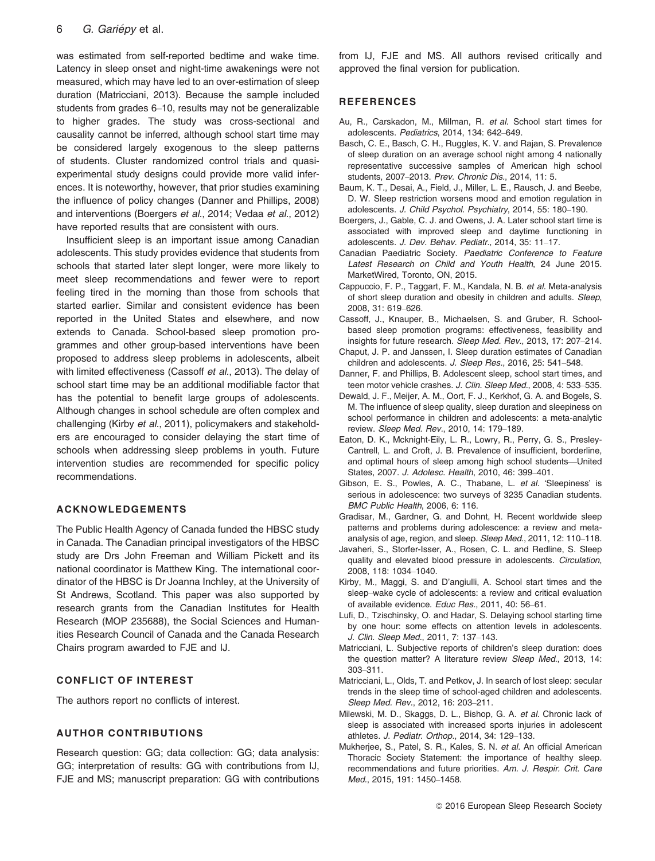was estimated from self-reported bedtime and wake time. Latency in sleep onset and night-time awakenings were not measured, which may have led to an over-estimation of sleep duration (Matricciani, 2013). Because the sample included students from grades 6–10, results may not be generalizable to higher grades. The study was cross-sectional and causality cannot be inferred, although school start time may be considered largely exogenous to the sleep patterns of students. Cluster randomized control trials and quasiexperimental study designs could provide more valid inferences. It is noteworthy, however, that prior studies examining the influence of policy changes (Danner and Phillips, 2008) and interventions (Boergers et al., 2014; Vedaa et al., 2012) have reported results that are consistent with ours.

Insufficient sleep is an important issue among Canadian adolescents. This study provides evidence that students from schools that started later slept longer, were more likely to meet sleep recommendations and fewer were to report feeling tired in the morning than those from schools that started earlier. Similar and consistent evidence has been reported in the United States and elsewhere, and now extends to Canada. School-based sleep promotion programmes and other group-based interventions have been proposed to address sleep problems in adolescents, albeit with limited effectiveness (Cassoff et al., 2013). The delay of school start time may be an additional modifiable factor that has the potential to benefit large groups of adolescents. Although changes in school schedule are often complex and challenging (Kirby et al., 2011), policymakers and stakeholders are encouraged to consider delaying the start time of schools when addressing sleep problems in youth. Future intervention studies are recommended for specific policy recommendations.

# ACKNOWLEDGEMENTS

The Public Health Agency of Canada funded the HBSC study in Canada. The Canadian principal investigators of the HBSC study are Drs John Freeman and William Pickett and its national coordinator is Matthew King. The international coordinator of the HBSC is Dr Joanna Inchley, at the University of St Andrews, Scotland. This paper was also supported by research grants from the Canadian Institutes for Health Research (MOP 235688), the Social Sciences and Humanities Research Council of Canada and the Canada Research Chairs program awarded to FJE and IJ.

# CONFLICT OF INTEREST

The authors report no conflicts of interest.

### AUTHOR CONTRIBUTIONS

Research question: GG; data collection: GG; data analysis: GG; interpretation of results: GG with contributions from IJ, FJE and MS; manuscript preparation: GG with contributions from IJ, FJE and MS. All authors revised critically and approved the final version for publication.

## **REFERENCES**

- Au, R., Carskadon, M., Millman, R. et al. School start times for adolescents. Pediatrics, 2014, 134: 642–649.
- Basch, C. E., Basch, C. H., Ruggles, K. V. and Rajan, S. Prevalence of sleep duration on an average school night among 4 nationally representative successive samples of American high school students, 2007–2013. Prev. Chronic Dis., 2014, 11: 5.
- Baum, K. T., Desai, A., Field, J., Miller, L. E., Rausch, J. and Beebe, D. W. Sleep restriction worsens mood and emotion regulation in adolescents. J. Child Psychol. Psychiatry, 2014, 55: 180–190.
- Boergers, J., Gable, C. J. and Owens, J. A. Later school start time is associated with improved sleep and daytime functioning in adolescents. J. Dev. Behav. Pediatr., 2014, 35: 11–17.
- Canadian Paediatric Society. Paediatric Conference to Feature Latest Research on Child and Youth Health, 24 June 2015. MarketWired, Toronto, ON, 2015.
- Cappuccio, F. P., Taggart, F. M., Kandala, N. B. et al. Meta-analysis of short sleep duration and obesity in children and adults. Sleep, 2008, 31: 619–626.
- Cassoff, J., Knauper, B., Michaelsen, S. and Gruber, R. Schoolbased sleep promotion programs: effectiveness, feasibility and insights for future research. Sleep Med. Rev., 2013, 17: 207–214.
- Chaput, J. P. and Janssen, I. Sleep duration estimates of Canadian children and adolescents. J. Sleep Res., 2016, 25: 541–548.
- Danner, F. and Phillips, B. Adolescent sleep, school start times, and teen motor vehicle crashes. J. Clin. Sleep Med., 2008, 4: 533–535.
- Dewald, J. F., Meijer, A. M., Oort, F. J., Kerkhof, G. A. and Bogels, S. M. The influence of sleep quality, sleep duration and sleepiness on school performance in children and adolescents: a meta-analytic review. Sleep Med. Rev., 2010, 14: 179–189.
- Eaton, D. K., Mcknight-Eily, L. R., Lowry, R., Perry, G. S., Presley-Cantrell, L. and Croft, J. B. Prevalence of insufficient, borderline, and optimal hours of sleep among high school students—United States, 2007. J. Adolesc. Health, 2010, 46: 399–401.
- Gibson, E. S., Powles, A. C., Thabane, L. et al. 'Sleepiness' is serious in adolescence: two surveys of 3235 Canadian students. BMC Public Health, 2006, 6: 116.
- Gradisar, M., Gardner, G. and Dohnt, H. Recent worldwide sleep patterns and problems during adolescence: a review and metaanalysis of age, region, and sleep. Sleep Med., 2011, 12: 110–118.
- Javaheri, S., Storfer-Isser, A., Rosen, C. L. and Redline, S. Sleep quality and elevated blood pressure in adolescents. Circulation, 2008, 118: 1034–1040.
- Kirby, M., Maggi, S. and D'angiulli, A. School start times and the sleep–wake cycle of adolescents: a review and critical evaluation of available evidence. Educ Res., 2011, 40: 56–61.
- Lufi, D., Tzischinsky, O. and Hadar, S. Delaying school starting time by one hour: some effects on attention levels in adolescents. J. Clin. Sleep Med., 2011, 7: 137–143.
- Matricciani, L. Subjective reports of children's sleep duration: does the question matter? A literature review Sleep Med., 2013, 14: 303–311.
- Matricciani, L., Olds, T. and Petkov, J. In search of lost sleep: secular trends in the sleep time of school-aged children and adolescents. Sleep Med. Rev., 2012, 16: 203–211.
- Milewski, M. D., Skaggs, D. L., Bishop, G. A. et al. Chronic lack of sleep is associated with increased sports injuries in adolescent athletes. J. Pediatr. Orthop., 2014, 34: 129–133.
- Mukherjee, S., Patel, S. R., Kales, S. N. et al. An official American Thoracic Society Statement: the importance of healthy sleep. recommendations and future priorities. Am. J. Respir. Crit. Care Med., 2015, 191: 1450–1458.